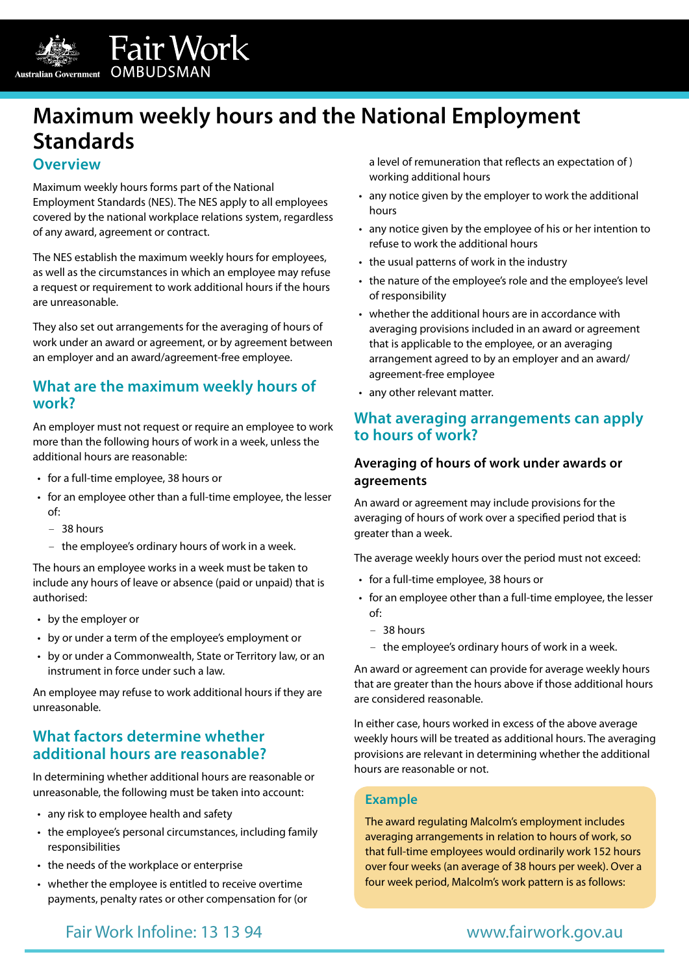

Fair Work Australian Government OMBUDSMAN

# **Maximum weekly hours and the National Employment Standards**

## **Overview**

Maximum weekly hours forms part of the National Employment Standards (NES). The NES apply to all employees covered by the national workplace relations system, regardless of any award, agreement or contract.

The NES establish the maximum weekly hours for employees, as well as the circumstances in which an employee may refuse a request or requirement to work additional hours if the hours are unreasonable.

They also set out arrangements for the averaging of hours of work under an award or agreement, or by agreement between an employer and an award/agreement-free employee.

## **What are the maximum weekly hours of work?**

An employer must not request or require an employee to work more than the following hours of work in a week, unless the additional hours are reasonable:

- for a full-time employee, 38 hours or
- for an employee other than a full-time employee, the lesser of:
	- 38 hours
	- the employee's ordinary hours of work in a week.

The hours an employee works in a week must be taken to include any hours of leave or absence (paid or unpaid) that is authorised:

- by the employer or
- by or under a term of the employee's employment or
- by or under a Commonwealth, State or Territory law, or an instrument in force under such a law.

An employee may refuse to work additional hours if they are unreasonable.

## **What factors determine whether additional hours are reasonable?**

In determining whether additional hours are reasonable or unreasonable, the following must be taken into account:

- any risk to employee health and safety
- the employee's personal circumstances, including family responsibilities
- the needs of the workplace or enterprise
- whether the employee is entitled to receive overtime payments, penalty rates or other compensation for (or

a level of remuneration that reflects an expectation of ) working additional hours

- any notice given by the employer to work the additional hours
- any notice given by the employee of his or her intention to refuse to work the additional hours
- the usual patterns of work in the industry
- the nature of the employee's role and the employee's level of responsibility
- whether the additional hours are in accordance with averaging provisions included in an award or agreement that is applicable to the employee, or an averaging arrangement agreed to by an employer and an award/ agreement-free employee
- any other relevant matter.

## **What averaging arrangements can apply to hours of work?**

## **Averaging of hours of work under awards or agreements**

An award or agreement may include provisions for the averaging of hours of work over a specified period that is greater than a week.

The average weekly hours over the period must not exceed:

- for a full-time employee, 38 hours or
- for an employee other than a full-time employee, the lesser of:
	- 38 hours
	- the employee's ordinary hours of work in a week.

An award or agreement can provide for average weekly hours that are greater than the hours above if those additional hours are considered reasonable.

In either case, hours worked in excess of the above average weekly hours will be treated as additional hours. The averaging provisions are relevant in determining whether the additional hours are reasonable or not.

### **Example**

The award regulating Malcolm's employment includes averaging arrangements in relation to hours of work, so that full-time employees would ordinarily work 152 hours over four weeks (an average of 38 hours per week). Over a four week period, Malcolm's work pattern is as follows:

## Fair Work Infoline: 13 13 94 [www.fairwork.gov.au](https://www.fairwork.gov.au)